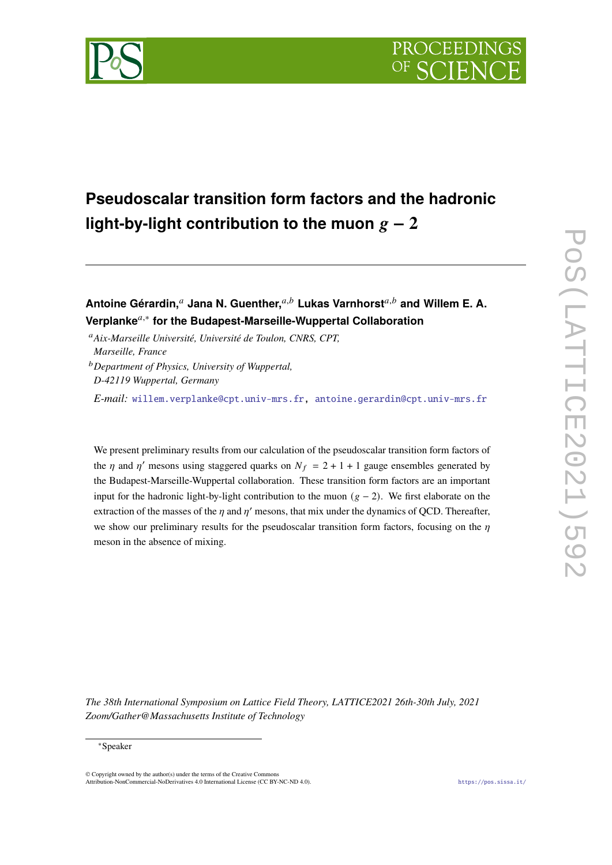

# **Pseudoscalar transition form factors and the hadronic** light-by-light contribution to the muon  $g - 2$

Antoine Gérardin,<sup>a</sup> Jana N. Guenther,<sup>a,b</sup> Lukas Varnhorst<sup>a,b</sup> and Willem E. A. **Verplanke**𝑎,<sup>∗</sup> **for the Budapest-Marseille-Wuppertal Collaboration**

<sup>a</sup>Aix-Marseille Université, Université de Toulon, CNRS, CPT, *Marseille, France*

<sup>𝑏</sup>*Department of Physics, University of Wuppertal, D-42119 Wuppertal, Germany*

*E-mail:* [willem.verplanke@cpt.univ-mrs.fr,](mailto:willem.verplanke@cpt.univ-mrs.fr) [antoine.gerardin@cpt.univ-mrs.fr](mailto:antoine.gerardin@cpt.univ-mrs.fr)

We present preliminary results from our calculation of the pseudoscalar transition form factors of the  $\eta$  and  $\eta'$  mesons using staggered quarks on  $N_f = 2 + 1 + 1$  gauge ensembles generated by the Budapest-Marseille-Wuppertal collaboration. These transition form factors are an important input for the hadronic light-by-light contribution to the muon  $(g - 2)$ . We first elaborate on the extraction of the masses of the  $n$  and  $n'$  mesons, that mix under the dynamics of OCD. Thereafter, we show our preliminary results for the pseudoscalar transition form factors, focusing on the  $\eta$ meson in the absence of mixing.

*The 38th International Symposium on Lattice Field Theory, LATTICE2021 26th-30th July, 2021 Zoom/Gather@Massachusetts Institute of Technology*

#### ∗Speaker

© Copyright owned by the author(s) under the terms of the Creative Commons Attribution-NonCommercial-NoDerivatives 4.0 International License (CC BY-NC-ND 4.0). <https://pos.sissa.it/>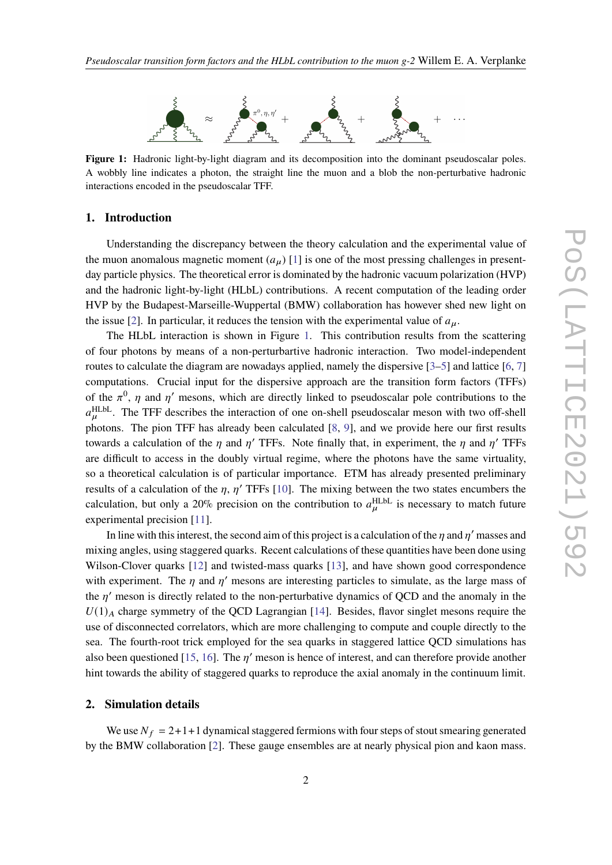<span id="page-1-0"></span>

**Figure 1:** Hadronic light-by-light diagram and its decomposition into the dominant pseudoscalar poles. A wobbly line indicates a photon, the straight line the muon and a blob the non-perturbative hadronic interactions encoded in the pseudoscalar TFF.

#### **1. Introduction**

Understanding the discrepancy between the theory calculation and the experimental value of the muon anomalous magnetic moment  $(a_\mu)$  [\[1\]](#page-7-0) is one of the most pressing challenges in presentday particle physics. The theoretical error is dominated by the hadronic vacuum polarization (HVP) and the hadronic light-by-light (HLbL) contributions. A recent computation of the leading order HVP by the Budapest-Marseille-Wuppertal (BMW) collaboration has however shed new light on the issue [\[2\]](#page-7-1). In particular, it reduces the tension with the experimental value of  $a<sub>u</sub>$ .

The HLbL interaction is shown in Figure [1.](#page-1-0) This contribution results from the scattering of four photons by means of a non-perturbartive hadronic interaction. Two model-independent routes to calculate the diagram are nowadays applied, namely the dispersive [\[3–](#page-7-2)[5\]](#page-7-3) and lattice [\[6,](#page-8-0) [7\]](#page-8-1) computations. Crucial input for the dispersive approach are the transition form factors (TFFs) of the  $\pi^0$ , *n* and *n'* mesons, which are directly linked to pseudoscalar pole contributions to the  $a_{\mu}^{\text{HLbL}}$ . The TFF describes the interaction of one on-shell pseudoscalar meson with two off-shell photons. The pion TFF has already been calculated [\[8,](#page-8-2) [9\]](#page-8-3), and we provide here our first results towards a calculation of the *n* and *n'* TFFs. Note finally that, in experiment, the *n* and *n'* TFFs are difficult to access in the doubly virtual regime, where the photons have the same virtuality, so a theoretical calculation is of particular importance. ETM has already presented preliminary results of a calculation of the *n*, *n'* TFFs [\[10\]](#page-8-4). The mixing between the two states encumbers the calculation, but only a 20% precision on the contribution to  $a_{\mu}^{\text{HLbL}}$  is necessary to match future experimental precision [\[11\]](#page-8-5).

In line with this interest, the second aim of this project is a calculation of the *n* and *n'* masses and mixing angles, using staggered quarks. Recent calculations of these quantities have been done using Wilson-Clover quarks [\[12\]](#page-8-6) and twisted-mass quarks [\[13\]](#page-8-7), and have shown good correspondence with experiment. The *n* and *n'* mesons are interesting particles to simulate, as the large mass of the  $n'$  meson is directly related to the non-perturbative dynamics of OCD and the anomaly in the  $U(1)_A$  charge symmetry of the QCD Lagrangian [\[14\]](#page-8-8). Besides, flavor singlet mesons require the use of disconnected correlators, which are more challenging to compute and couple directly to the sea. The fourth-root trick employed for the sea quarks in staggered lattice QCD simulations has also been questioned [\[15,](#page-8-9) [16\]](#page-8-10). The  $n'$  meson is hence of interest, and can therefore provide another hint towards the ability of staggered quarks to reproduce the axial anomaly in the continuum limit.

### **2. Simulation details**

We use  $N_f = 2+1+1$  dynamical staggered fermions with four steps of stout smearing generated by the BMW collaboration [\[2\]](#page-7-1). These gauge ensembles are at nearly physical pion and kaon mass.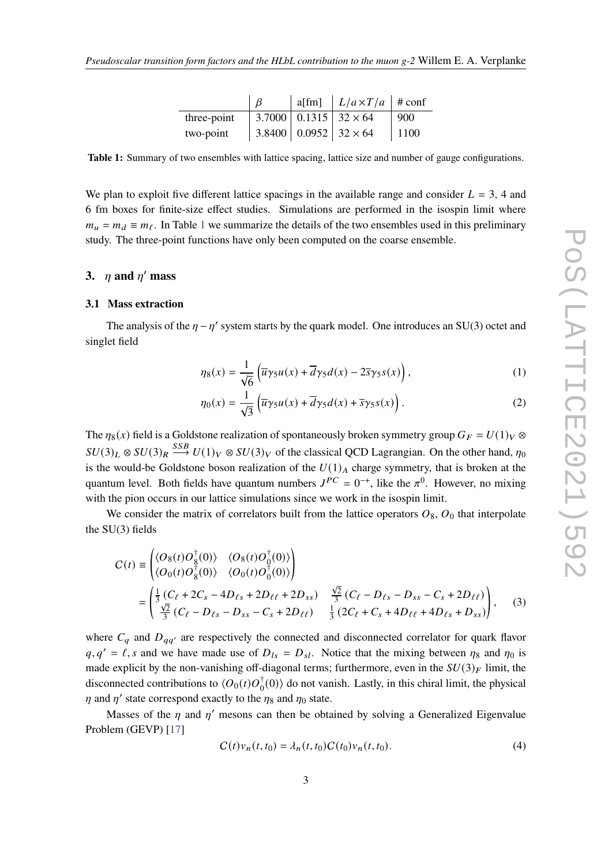|             |  | a[fm] $\mid L/a \times T/a \mid$ # conf |      |
|-------------|--|-----------------------------------------|------|
| three-point |  | $ 3.7000 0.1315 32\times64$             | 900  |
| two-point   |  | $3.8400   0.0952   32 \times 64$        | 1100 |

<span id="page-2-0"></span>**Table 1:** Summary of two ensembles with lattice spacing, lattice size and number of gauge configurations.

We plan to exploit five different lattice spacings in the available range and consider  $L = 3$ , 4 and 6 fm boxes for finite-size effect studies. Simulations are performed in the isospin limit where  $m_u = m_d \equiv m_f$ . In Table [1](#page-2-0) we summarize the details of the two ensembles used in this preliminary study. The three-point functions have only been computed on the coarse ensemble.

## **3.**  $\eta$  and  $\eta'$  mass

#### **3.1 Mass extraction**

The analysis of the  $\eta - \eta'$  system starts by the quark model. One introduces an SU(3) octet and singlet field

$$
\eta_8(x) = \frac{1}{\sqrt{6}} \left( \overline{u}\gamma_5 u(x) + \overline{d}\gamma_5 d(x) - 2\overline{s}\gamma_5 s(x) \right),\tag{1}
$$

$$
\eta_0(x) = \frac{1}{\sqrt{3}} \left( \overline{u}\gamma_5 u(x) + \overline{d}\gamma_5 d(x) + \overline{s}\gamma_5 s(x) \right). \tag{2}
$$

The  $\eta_8(x)$  field is a Goldstone realization of spontaneously broken symmetry group  $G_F = U(1)_V \otimes$  $SU(3)_L \otimes SU(3)_R \stackrel{SSB}{\longrightarrow} U(1)_V \otimes SU(3)_V$  of the classical QCD Lagrangian. On the other hand,  $\eta_0$ is the would-be Goldstone boson realization of the  $U(1)_A$  charge symmetry, that is broken at the quantum level. Both fields have quantum numbers  $J^{PC} = 0^{-+}$ , like the  $\pi^0$ . However, no mixing with the pion occurs in our lattice simulations since we work in the isospin limit.

We consider the matrix of correlators built from the lattice operators  $O_8$ ,  $O_0$  that interpolate the SU(3) fields

$$
C(t) = \begin{pmatrix} \langle O_8(t)O_8^{\dagger}(0) \rangle & \langle O_8(t)O_0^{\dagger}(0) \rangle \\ \langle O_0(t)O_8^{\dagger}(0) \rangle & \langle O_0(t)O_0^{\dagger}(0) \rangle \end{pmatrix}
$$
  
= 
$$
\begin{pmatrix} \frac{1}{3} (C_{\ell} + 2C_{s} - 4D_{\ell s} + 2D_{\ell \ell} + 2D_{ss}) & \frac{\sqrt{2}}{3} (C_{\ell} - D_{\ell s} - D_{ss} - C_{s} + 2D_{\ell \ell}) \\ \frac{\sqrt{2}}{3} (C_{\ell} - D_{\ell s} - D_{ss} - C_{s} + 2D_{\ell \ell}) & \frac{1}{3} (2C_{\ell} + C_{s} + 4D_{\ell \ell} + 4D_{\ell s} + D_{ss}) \end{pmatrix},
$$
(3)

where  $C_a$  and  $D_{aa'}$  are respectively the connected and disconnected correlator for quark flavor  $q, q' = \ell$ , s and we have made use of  $D_{ls} = D_{sl}$ . Notice that the mixing between  $\eta_8$  and  $\eta_0$  is made explicit by the non-vanishing off-diagonal terms; furthermore, even in the  $SU(3)_F$  limit, the disconnected contributions to  $\langle O_0(t) O_0^{\dagger}(0) \rangle$  do not vanish. Lastly, in this chiral limit, the physical  $\eta$  and  $\eta'$  state correspond exactly to the  $\eta_8$  and  $\eta_0$  state.

Masses of the  $n$  and  $n'$  mesons can then be obtained by solving a Generalized Eigenvalue Problem (GEVP) [\[17\]](#page-8-11)

<span id="page-2-1"></span>
$$
C(t)v_n(t, t_0) = \lambda_n(t, t_0)C(t_0)v_n(t, t_0).
$$
\n(4)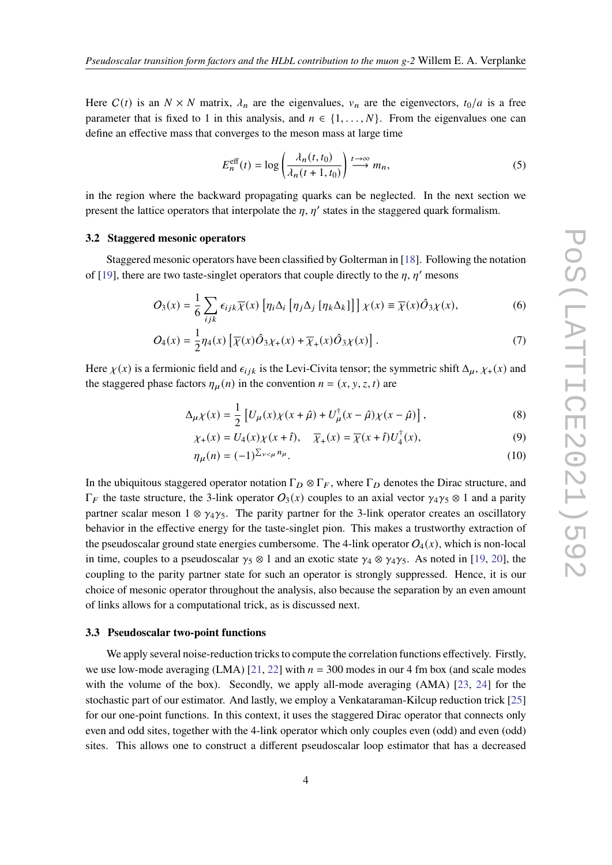Here  $C(t)$  is an  $N \times N$  matrix,  $\lambda_n$  are the eigenvalues,  $v_n$  are the eigenvectors,  $t_0/a$  is a free parameter that is fixed to 1 in this analysis, and  $n \in \{1, \ldots, N\}$ . From the eigenvalues one can define an effective mass that converges to the meson mass at large time

$$
E_n^{\text{eff}}(t) = \log \left( \frac{\lambda_n(t, t_0)}{\lambda_n(t + 1, t_0)} \right) \stackrel{t \to \infty}{\longrightarrow} m_n,
$$
 (5)

in the region where the backward propagating quarks can be neglected. In the next section we present the lattice operators that interpolate the  $n, n'$  states in the staggered quark formalism.

#### **3.2 Staggered mesonic operators**

Staggered mesonic operators have been classified by Golterman in [\[18\]](#page-8-12). Following the notation of [\[19\]](#page-8-13), there are two taste-singlet operators that couple directly to the  $n, n'$  mesons

$$
O_3(x) = \frac{1}{6} \sum_{ijk} \epsilon_{ijk} \overline{\chi}(x) \left[ \eta_i \Delta_i \left[ \eta_j \Delta_j \left[ \eta_k \Delta_k \right] \right] \right] \chi(x) \equiv \overline{\chi}(x) \hat{O}_3 \chi(x), \tag{6}
$$

$$
O_4(x) = \frac{1}{2}\eta_4(x)\left[\overline{\chi}(x)\hat{O}_3\chi_+(x) + \overline{\chi}_+(x)\hat{O}_3\chi(x)\right].\tag{7}
$$

Here  $\chi(x)$  is a fermionic field and  $\epsilon_{ijk}$  is the Levi-Civita tensor; the symmetric shift  $\Delta_{\mu}$ ,  $\chi_{+}(x)$  and the staggered phase factors  $\eta_{\mu}(n)$  in the convention  $n = (x, y, z, t)$  are

$$
\Delta_{\mu}\chi(x) = \frac{1}{2} \left[ U_{\mu}(x)\chi(x+\hat{\mu}) + U_{\mu}^{\dagger}(x-\hat{\mu})\chi(x-\hat{\mu}) \right],
$$
\n(8)

$$
\chi_{+}(x) = U_{4}(x)\chi(x+\hat{t}), \quad \overline{\chi}_{+}(x) = \overline{\chi}(x+\hat{t})U_{4}^{\dagger}(x), \tag{9}
$$

$$
\eta_{\mu}(n) = (-1)^{\sum_{\nu < \mu} n_{\mu}}.\tag{10}
$$

In the ubiquitous staggered operator notation  $\Gamma_D \otimes \Gamma_F$ , where  $\Gamma_D$  denotes the Dirac structure, and  $\Gamma_F$  the taste structure, the 3-link operator  $O_3(x)$  couples to an axial vector  $\gamma_4\gamma_5 \otimes 1$  and a parity partner scalar meson 1 ⊗  $\gamma_4\gamma_5$ . The parity partner for the 3-link operator creates an oscillatory behavior in the effective energy for the taste-singlet pion. This makes a trustworthy extraction of the pseudoscalar ground state energies cumbersome. The 4-link operator  $O_4(x)$ , which is non-local in time, couples to a pseudoscalar  $\gamma_5 \otimes 1$  and an exotic state  $\gamma_4 \otimes \gamma_4 \gamma_5$ . As noted in [\[19,](#page-8-13) [20\]](#page-8-14), the coupling to the parity partner state for such an operator is strongly suppressed. Hence, it is our choice of mesonic operator throughout the analysis, also because the separation by an even amount of links allows for a computational trick, as is discussed next.

#### **3.3 Pseudoscalar two-point functions**

We apply several noise-reduction tricks to compute the correlation functions effectively. Firstly, we use low-mode averaging (LMA) [\[21,](#page-8-15) [22\]](#page-8-16) with  $n = 300$  modes in our 4 fm box (and scale modes with the volume of the box). Secondly, we apply all-mode averaging (AMA) [\[23,](#page-8-17) [24\]](#page-8-18) for the stochastic part of our estimator. And lastly, we employ a Venkataraman-Kilcup reduction trick [\[25\]](#page-8-19) for our one-point functions. In this context, it uses the staggered Dirac operator that connects only even and odd sites, together with the 4-link operator which only couples even (odd) and even (odd) sites. This allows one to construct a different pseudoscalar loop estimator that has a decreased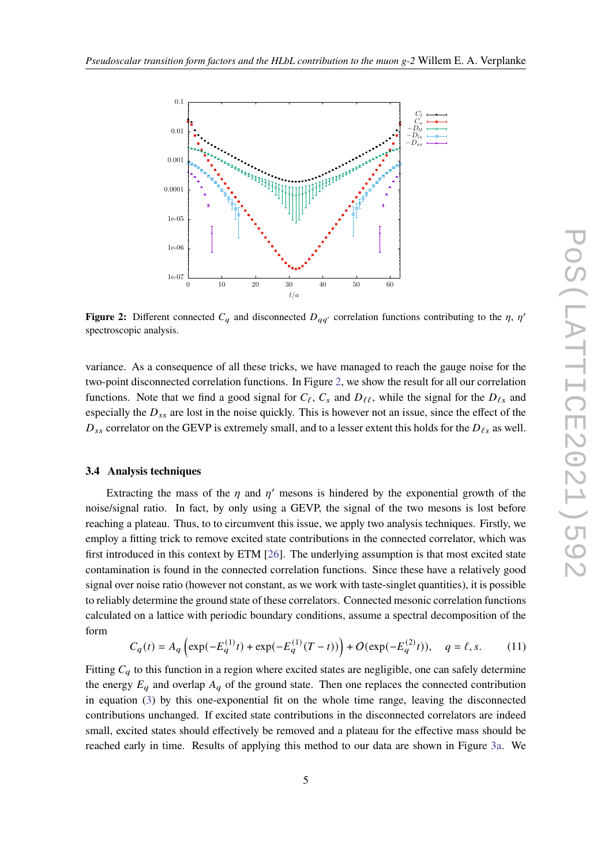<span id="page-4-0"></span>

**Figure 2:** Different connected  $C_q$  and disconnected  $D_{qq'}$  correlation functions contributing to the  $\eta$ ,  $\eta'$ spectroscopic analysis.

variance. As a consequence of all these tricks, we have managed to reach the gauge noise for the two-point disconnected correlation functions. In Figure [2,](#page-4-0) we show the result for all our correlation functions. Note that we find a good signal for  $C_{\ell}$ ,  $C_{s}$  and  $D_{\ell}$ , while the signal for the  $D_{\ell s}$  and especially the  $D_{ss}$  are lost in the noise quickly. This is however not an issue, since the effect of the  $D_{ss}$  correlator on the GEVP is extremely small, and to a lesser extent this holds for the  $D_{\ell s}$  as well.

#### <span id="page-4-1"></span>**3.4 Analysis techniques**

Extracting the mass of the  $n$  and  $n'$  mesons is hindered by the exponential growth of the noise/signal ratio. In fact, by only using a GEVP, the signal of the two mesons is lost before reaching a plateau. Thus, to to circumvent this issue, we apply two analysis techniques. Firstly, we employ a fitting trick to remove excited state contributions in the connected correlator, which was first introduced in this context by ETM [\[26\]](#page-8-20). The underlying assumption is that most excited state contamination is found in the connected correlation functions. Since these have a relatively good signal over noise ratio (however not constant, as we work with taste-singlet quantities), it is possible to reliably determine the ground state of these correlators. Connected mesonic correlation functions calculated on a lattice with periodic boundary conditions, assume a spectral decomposition of the form

$$
C_q(t) = A_q \left( \exp(-E_q^{(1)}t) + \exp(-E_q^{(1)}(T-t)) \right) + O(\exp(-E_q^{(2)}t)), \quad q = \ell, s. \tag{11}
$$

Fitting  $C_q$  to this function in a region where excited states are negligible, one can safely determine the energy  $E_q$  and overlap  $A_q$  of the ground state. Then one replaces the connected contribution in equation [\(3\)](#page-2-1) by this one-exponential fit on the whole time range, leaving the disconnected contributions unchanged. If excited state contributions in the disconnected correlators are indeed small, excited states should effectively be removed and a plateau for the effective mass should be reached early in time. Results of applying this method to our data are shown in Figure [3a.](#page-5-0) We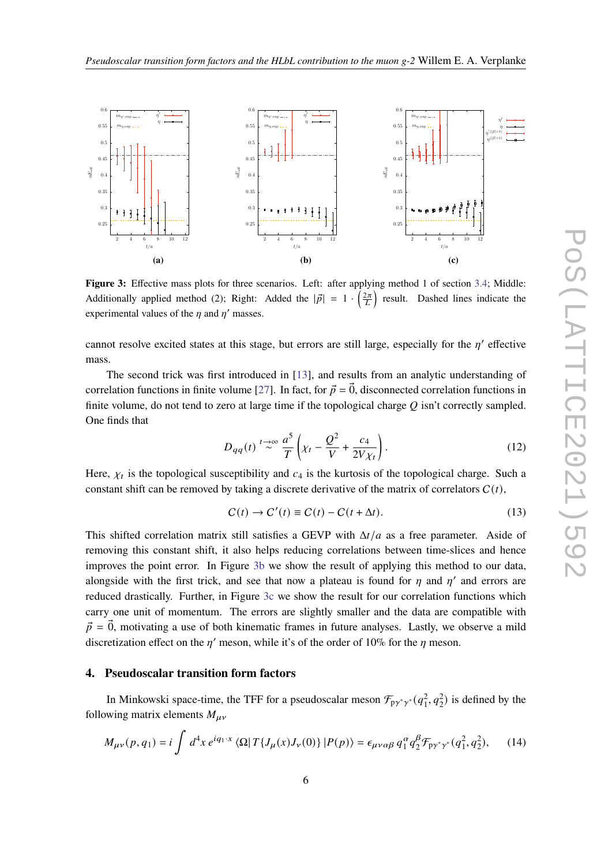<span id="page-5-0"></span>

<span id="page-5-1"></span>**Figure 3:** Effective mass plots for three scenarios. Left: after applying method 1 of section [3.4;](#page-4-1) Middle: Additionally applied method (2); Right: Added the  $|\vec{p}| = 1 \cdot \left(\frac{2\pi}{L}\right)$  result. Dashed lines indicate the experimental values of the  $\eta$  and  $\eta'$  masses.

cannot resolve excited states at this stage, but errors are still large, especially for the  $n'$  effective mass.

The second trick was first introduced in [\[13\]](#page-8-7), and results from an analytic understanding of correlation functions in finite volume [\[27\]](#page-8-21). In fact, for  $\vec{p} = \vec{0}$ , disconnected correlation functions in finite volume, do not tend to zero at large time if the topological charge  $Q$  isn't correctly sampled. One finds that

<span id="page-5-2"></span>
$$
D_{qq}(t) \stackrel{t \to \infty}{\sim} \frac{a^5}{T} \left( \chi_t - \frac{Q^2}{V} + \frac{c_4}{2V\chi_t} \right). \tag{12}
$$

Here,  $\chi_t$  is the topological susceptibility and  $c_4$  is the kurtosis of the topological charge. Such a constant shift can be removed by taking a discrete derivative of the matrix of correlators  $C(t)$ ,

$$
C(t) \to C'(t) \equiv C(t) - C(t + \Delta t). \tag{13}
$$

This shifted correlation matrix still satisfies a GEVP with  $\Delta t/a$  as a free parameter. Aside of removing this constant shift, it also helps reducing correlations between time-slices and hence improves the point error. In Figure [3b](#page-5-1) we show the result of applying this method to our data, alongside with the first trick, and see that now a plateau is found for  $n$  and  $n'$  and errors are reduced drastically. Further, in Figure [3c](#page-5-2) we show the result for our correlation functions which carry one unit of momentum. The errors are slightly smaller and the data are compatible with  $\vec{p} = \vec{0}$ , motivating a use of both kinematic frames in future analyses. Lastly, we observe a mild discretization effect on the  $n'$  meson, while it's of the order of 10% for the *n* meson.

#### **4. Pseudoscalar transition form factors**

In Minkowski space-time, the TFF for a pseudoscalar meson  $\mathcal{F}_{p\gamma^*\gamma^*}(q_1^2, q_2^2)$  is defined by the following matrix elements  $M_{\mu\nu}$ 

$$
M_{\mu\nu}(p,q_1) = i \int d^4x \, e^{iq_1 \cdot x} \, \langle \Omega | \, T \{ J_\mu(x) J_\nu(0) \} | P(p) \rangle = \epsilon_{\mu\nu\alpha\beta} \, q_1^\alpha q_2^\beta \mathcal{F}_{p\gamma^* \gamma^*}(q_1^2, q_2^2), \tag{14}
$$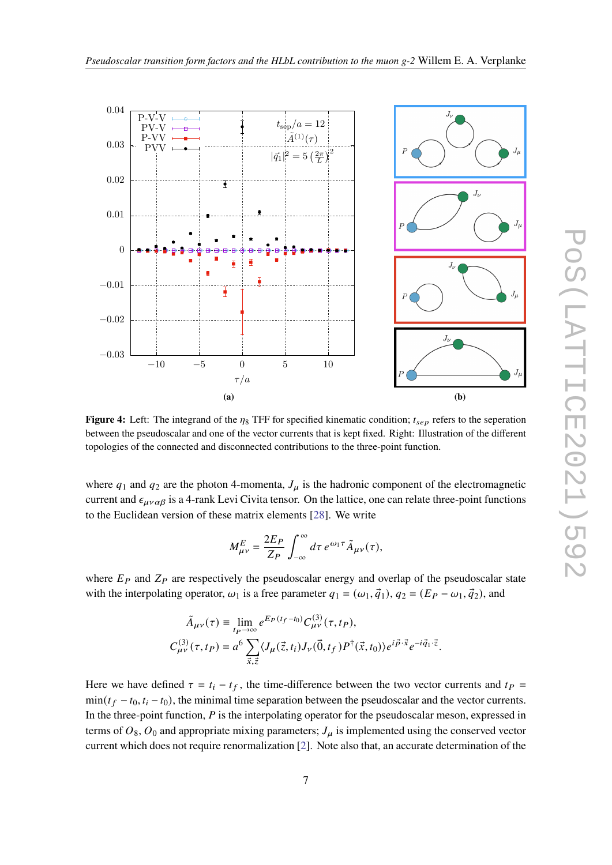

<span id="page-6-0"></span>

**Figure 4:** Left: The integrand of the  $\eta_8$  TFF for specified kinematic condition;  $t_{sep}$  refers to the seperation between the pseudoscalar and one of the vector currents that is kept fixed. Right: Illustration of the different topologies of the connected and disconnected contributions to the three-point function.

where  $q_1$  and  $q_2$  are the photon 4-momenta,  $J_\mu$  is the hadronic component of the electromagnetic current and  $\epsilon_{\mu\nu\alpha\beta}$  is a 4-rank Levi Civita tensor. On the lattice, one can relate three-point functions to the Euclidean version of these matrix elements [\[28\]](#page-8-22). We write

$$
M_{\mu\nu}^{E} = \frac{2E_P}{Z_P} \int_{-\infty}^{\infty} d\tau \, e^{\omega_1 \tau} \tilde{A}_{\mu\nu}(\tau),
$$

where  $E_P$  and  $Z_P$  are respectively the pseudoscalar energy and overlap of the pseudoscalar state with the interpolating operator,  $\omega_1$  is a free parameter  $q_1 = (\omega_1, \vec{q}_1), q_2 = (E_P - \omega_1, \vec{q}_2)$ , and

$$
\begin{split} \tilde{A}_{\mu\nu}(\tau) &\equiv \lim_{tp\to\infty} e^{E_P(t_f-t_0)} C^{(3)}_{\mu\nu}(\tau,t_P), \\ C^{(3)}_{\mu\nu}(\tau,t_P) & = a^6 \sum_{\vec{x},\vec{z}} \langle J_\mu(\vec{z},t_i) J_\nu(\vec{0},t_f) P^\dagger(\vec{x},t_0) \rangle e^{i\vec{p}\cdot\vec{x}} e^{-i\vec{q}_1\cdot\vec{z}}. \end{split}
$$

Here we have defined  $\tau = t_i - t_f$ , the time-difference between the two vector currents and  $t_P$  $min(t_f - t_0, t_i - t_0)$ , the minimal time separation between the pseudoscalar and the vector currents. In the three-point function,  $P$  is the interpolating operator for the pseudoscalar meson, expressed in terms of  $O_8$ ,  $O_0$  and appropriate mixing parameters;  $J_\mu$  is implemented using the conserved vector current which does not require renormalization [\[2\]](#page-7-1). Note also that, an accurate determination of the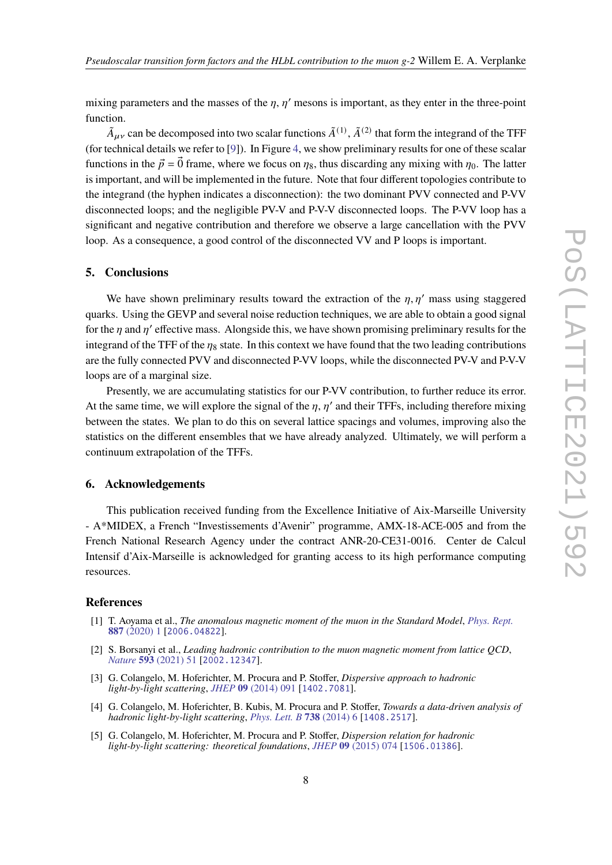mixing parameters and the masses of the  $\eta$ ,  $\eta'$  mesons is important, as they enter in the three-point function.

 $\tilde{A}_{\mu\nu}$  can be decomposed into two scalar functions  $\tilde{A}^{(1)}$ ,  $\tilde{A}^{(2)}$  that form the integrand of the TFF (for technical details we refer to [\[9\]](#page-8-3)). In Figure [4,](#page-6-0) we show preliminary results for one of these scalar functions in the  $\vec{p} = \vec{0}$  frame, where we focus on  $\eta_8$ , thus discarding any mixing with  $\eta_0$ . The latter is important, and will be implemented in the future. Note that four different topologies contribute to the integrand (the hyphen indicates a disconnection): the two dominant PVV connected and P-VV disconnected loops; and the negligible PV-V and P-V-V disconnected loops. The P-VV loop has a significant and negative contribution and therefore we observe a large cancellation with the PVV loop. As a consequence, a good control of the disconnected VV and P loops is important.

### **5. Conclusions**

We have shown preliminary results toward the extraction of the  $\eta$ ,  $\eta'$  mass using staggered quarks. Using the GEVP and several noise reduction techniques, we are able to obtain a good signal for the  $\eta$  and  $\eta'$  effective mass. Alongside this, we have shown promising preliminary results for the integrand of the TFF of the  $\eta_8$  state. In this context we have found that the two leading contributions are the fully connected PVV and disconnected P-VV loops, while the disconnected PV-V and P-V-V loops are of a marginal size.

Presently, we are accumulating statistics for our P-VV contribution, to further reduce its error. At the same time, we will explore the signal of the  $n, n'$  and their TFFs, including therefore mixing between the states. We plan to do this on several lattice spacings and volumes, improving also the statistics on the different ensembles that we have already analyzed. Ultimately, we will perform a continuum extrapolation of the TFFs.

#### **6. Acknowledgements**

This publication received funding from the Excellence Initiative of Aix-Marseille University - A\*MIDEX, a French "Investissements d'Avenir" programme, AMX-18-ACE-005 and from the French National Research Agency under the contract ANR-20-CE31-0016. Center de Calcul Intensif d'Aix-Marseille is acknowledged for granting access to its high performance computing resources.

#### **References**

- <span id="page-7-0"></span>[1] T. Aoyama et al., *The anomalous magnetic moment of the muon in the Standard Model*, *[Phys. Rept.](https://doi.org/10.1016/j.physrep.2020.07.006)* **887** [\(2020\) 1](https://doi.org/10.1016/j.physrep.2020.07.006) [[2006.04822](https://arxiv.org/abs/2006.04822)].
- <span id="page-7-1"></span>[2] S. Borsanyi et al., *Leading hadronic contribution to the muon magnetic moment from lattice QCD*, *Nature* **593** [\(2021\) 51](https://doi.org/10.1038/s41586-021-03418-1) [[2002.12347](https://arxiv.org/abs/2002.12347)].
- <span id="page-7-2"></span>[3] G. Colangelo, M. Hoferichter, M. Procura and P. Stoffer, *Dispersive approach to hadronic light-by-light scattering*, *JHEP* **09** [\(2014\) 091](https://doi.org/10.1007/JHEP09(2014)091) [[1402.7081](https://arxiv.org/abs/1402.7081)].
- [4] G. Colangelo, M. Hoferichter, B. Kubis, M. Procura and P. Stoffer, *Towards a data-driven analysis of hadronic light-by-light scattering*, *[Phys. Lett. B](https://doi.org/10.1016/j.physletb.2014.09.021)* **738** (2014) 6 [[1408.2517](https://arxiv.org/abs/1408.2517)].
- <span id="page-7-3"></span>[5] G. Colangelo, M. Hoferichter, M. Procura and P. Stoffer, *Dispersion relation for hadronic light-by-light scattering: theoretical foundations*, *JHEP* **09** [\(2015\) 074](https://doi.org/10.1007/JHEP09(2015)074) [[1506.01386](https://arxiv.org/abs/1506.01386)].